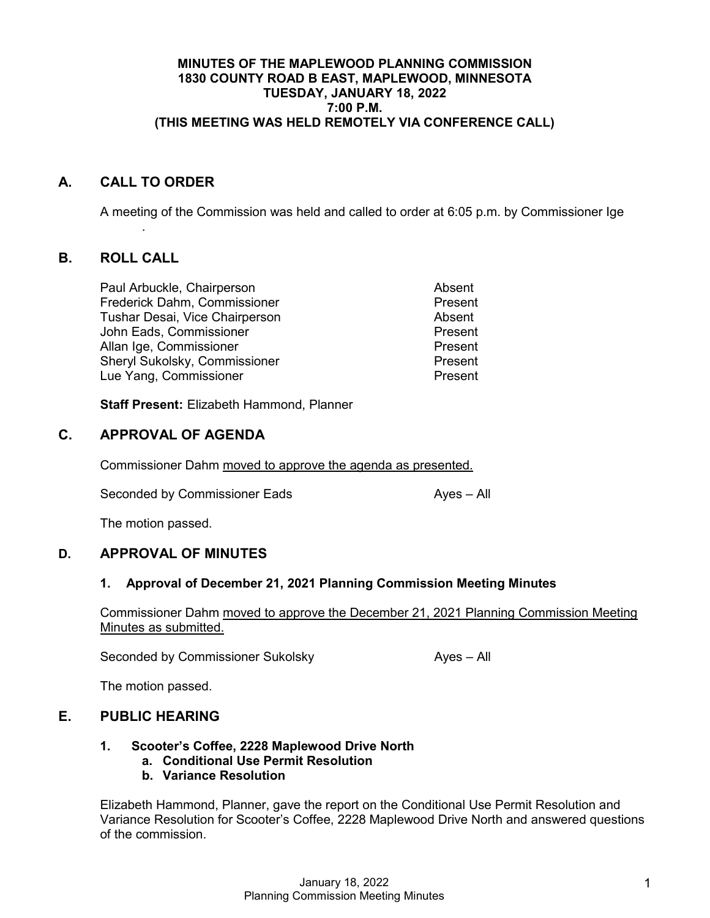#### **MINUTES OF THE MAPLEWOOD PLANNING COMMISSION 1830 COUNTY ROAD B EAST, MAPLEWOOD, MINNESOTA TUESDAY, JANUARY 18, 2022 7:00 P.M. (THIS MEETING WAS HELD REMOTELY VIA CONFERENCE CALL)**

## **A. CALL TO ORDER**

.

A meeting of the Commission was held and called to order at 6:05 p.m. by Commissioner Ige

### **B. ROLL CALL**

Paul Arbuckle, Chairperson **Absent** Absent Frederick Dahm, Commissioner **Present** Tushar Desai, Vice Chairperson **Absent** John Eads, Commissioner **Present** Allan Ige, Commissioner en andere and the Present Present<br>
Shervl Sukolsky Commissioner en andere Present Sheryl Sukolsky, Commissioner Lue Yang, Commissioner **Present** 

**Staff Present:** Elizabeth Hammond, Planner

## **C. APPROVAL OF AGENDA**

Commissioner Dahm moved to approve the agenda as presented.

Seconded by Commissioner Eads Ayes – All

The motion passed.

### **D. APPROVAL OF MINUTES**

### **1. Approval of December 21, 2021 Planning Commission Meeting Minutes**

Commissioner Dahm moved to approve the December 21, 2021 Planning Commission Meeting Minutes as submitted.

Seconded by Commissioner Sukolsky Ayes – All

The motion passed.

# **E. PUBLIC HEARING**

### **1. Scooter's Coffee, 2228 Maplewood Drive North**

- **a. Conditional Use Permit Resolution**
- **b. Variance Resolution**

Elizabeth Hammond, Planner, gave the report on the Conditional Use Permit Resolution and Variance Resolution for Scooter's Coffee, 2228 Maplewood Drive North and answered questions of the commission.